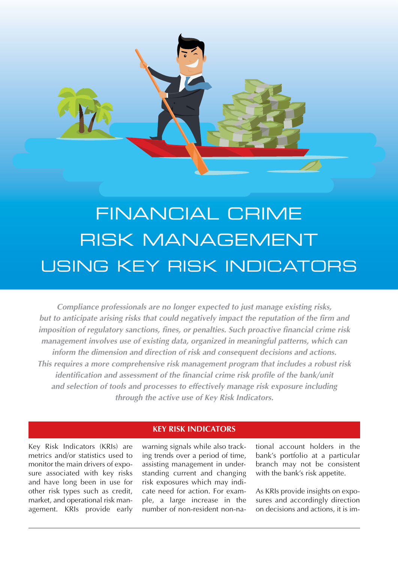

# FINANCIAL CRIME RISK MANAGEMENT USING KEY RISK INDICATORS

**Compliance professionals are no longer expected to just manage existing risks, but to anticipate arising risks that could negatively impact the reputation of the firm and imposition of regulatory sanctions, fines, or penalties. Such proactive financial crime risk management involves use of existing data, organized in meaningful patterns, which can inform the dimension and direction of risk and consequent decisions and actions. This requires a more comprehensive risk management program that includes a robust risk identification and assessment of the financial crime risk profile of the bank/unit and selection of tools and processes to effectively manage risk exposure including through the active use of Key Risk Indicators.** 

# **KEY RISK INDICATORS**

Key Risk Indicators (KRIs) are metrics and/or statistics used to monitor the main drivers of exposure associated with key risks and have long been in use for other risk types such as credit, market, and operational risk management. KRIs provide early

warning signals while also tracking trends over a period of time, assisting management in understanding current and changing risk exposures which may indicate need for action. For example, a large increase in the number of non-resident non-national account holders in the bank's portfolio at a particular branch may not be consistent with the bank's risk appetite.

As KRIs provide insights on exposures and accordingly direction on decisions and actions, it is im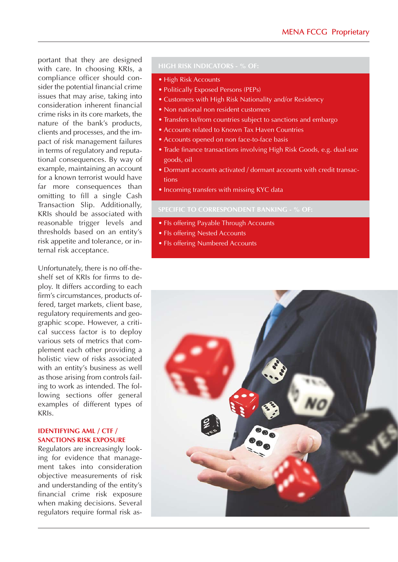portant that they are designed with care. In choosing KRIs, a compliance officer should consider the potential financial crime issues that may arise, taking into consideration inherent financial crime risks in its core markets, the nature of the bank's products, clients and processes, and the impact of risk management failures in terms of regulatory and reputational consequences. By way of example, maintaining an account for a known terrorist would have far more consequences than omitting to fill a single Cash Transaction Slip. Additionally, KRIs should be associated with reasonable trigger levels and thresholds based on an entity's risk appetite and tolerance, or internal risk acceptance.

Unfortunately, there is no off-theshelf set of KRIs for firms to deploy. It differs according to each firm's circumstances, products offered, target markets, client base, regulatory requirements and geographic scope. However, a critical success factor is to deploy various sets of metrics that complement each other providing a holistic view of risks associated with an entity's business as well as those arising from controls failing to work as intended. The following sections offer general examples of different types of KRIs.

# **IDENTIFYING AML / CTF / SANCTIONS RISK EXPOSURE**

Regulators are increasingly looking for evidence that management takes into consideration objective measurements of risk and understanding of the entity's financial crime risk exposure when making decisions. Several regulators require formal risk as-

- High Risk Accounts
- Politically Exposed Persons (PEPs)
- Customers with High Risk Nationality and/or Residency
- Non national non resident customers
- Transfers to/from countries subject to sanctions and embargo
- Accounts related to Known Tax Haven Countries
- Accounts opened on non face-to-face basis
- Trade finance transactions involving High Risk Goods, e.g. dual-use goods, oil
- Dormant accounts activated / dormant accounts with credit transactions
- Incoming transfers with missing KYC data

- FIs offering Payable Through Accounts
- FIs offering Nested Accounts
- FIs offering Numbered Accounts

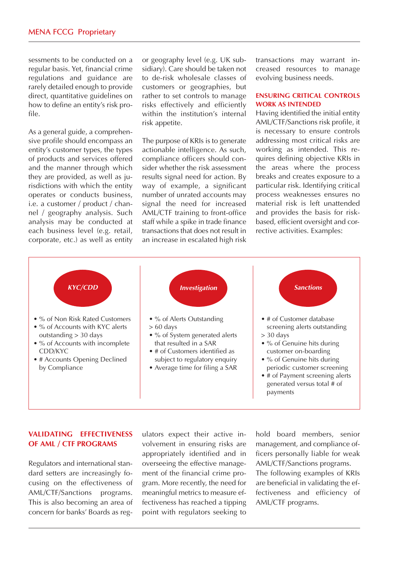sessments to be conducted on a regular basis. Yet, financial crime regulations and guidance are rarely detailed enough to provide direct, quantitative guidelines on how to define an entity's risk profile.

As a general guide, a comprehensive profile should encompass an entity's customer types, the types of products and services offered and the manner through which they are provided, as well as jurisdictions with which the entity operates or conducts business, i.e. a customer / product / channel / geography analysis. Such analysis may be conducted at each business level (e.g. retail, corporate, etc.) as well as entity or geography level (e.g. UK subsidiary). Care should be taken not to de-risk wholesale classes of customers or geographies, but rather to set controls to manage risks effectively and efficiently within the institution's internal risk appetite.

The purpose of KRIs is to generate actionable intelligence. As such, compliance officers should consider whether the risk assessment results signal need for action. By way of example, a significant number of unrated accounts may signal the need for increased AML/CTF training to front-office staff while a spike in trade finance transactions that does not result in an increase in escalated high risk

transactions may warrant increased resources to manage evolving business needs.

## **ENSURING CRITICAL CONTROLS WORK AS INTENDED**

Having identified the initial entity AML/CTF/Sanctions risk profile, it is necessary to ensure controls addressing most critical risks are working as intended. This requires defining objective KRIs in the areas where the process breaks and creates exposure to a particular risk. Identifying critical process weaknesses ensures no material risk is left unattended and provides the basis for riskbased, efficient oversight and corrective activities. Examples:



# **VALIDATING EFFECTIVENESS OF AML / CTF PROGRAMS**

Regulators and international standard setters are increasingly focusing on the effectiveness of AML/CTF/Sanctions programs. This is also becoming an area of concern for banks' Boards as regulators expect their active involvement in ensuring risks are appropriately identified and in overseeing the effective management of the financial crime program. More recently, the need for meaningful metrics to measure effectiveness has reached a tipping point with regulators seeking to

hold board members, senior management, and compliance officers personally liable for weak AML/CTF/Sanctions programs. The following examples of KRIs are beneficial in validating the effectiveness and efficiency of AML/CTF programs.